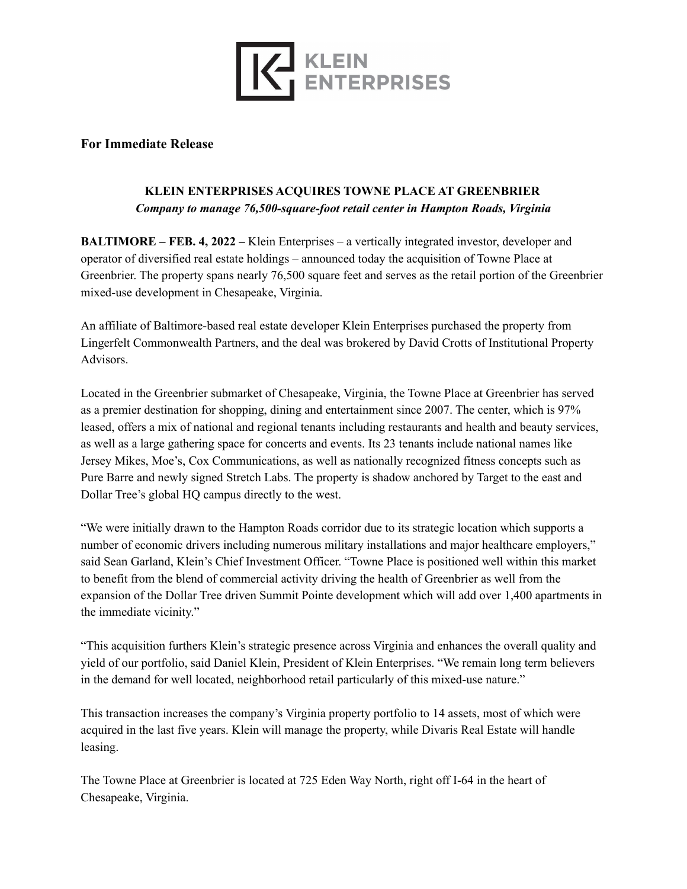

## **For Immediate Release**

## **KLEIN ENTERPRISES ACQUIRES TOWNE PLACE AT GREENBRIER** *Company to manage 76,500-square-foot retail center in Hampton Roads, Virginia*

**BALTIMORE – FEB. 4, 2022 –** Klein Enterprises – a vertically integrated investor, developer and operator of diversified real estate holdings – announced today the acquisition of Towne Place at Greenbrier. The property spans nearly 76,500 square feet and serves as the retail portion of the Greenbrier mixed-use development in Chesapeake, Virginia.

An affiliate of Baltimore-based real estate developer Klein Enterprises purchased the property from Lingerfelt Commonwealth Partners, and the deal was brokered by David Crotts of Institutional Property Advisors.

Located in the Greenbrier submarket of Chesapeake, Virginia, the Towne Place at Greenbrier has served as a premier destination for shopping, dining and entertainment since 2007. The center, which is 97% leased, offers a mix of national and regional tenants including restaurants and health and beauty services, as well as a large gathering space for concerts and events. Its 23 tenants include national names like Jersey Mikes, Moe's, Cox Communications, as well as nationally recognized fitness concepts such as Pure Barre and newly signed Stretch Labs. The property is shadow anchored by Target to the east and Dollar Tree's global HQ campus directly to the west.

"We were initially drawn to the Hampton Roads corridor due to its strategic location which supports a number of economic drivers including numerous military installations and major healthcare employers," said Sean Garland, Klein's Chief Investment Officer. "Towne Place is positioned well within this market to benefit from the blend of commercial activity driving the health of Greenbrier as well from the expansion of the Dollar Tree driven Summit Pointe development which will add over 1,400 apartments in the immediate vicinity."

"This acquisition furthers Klein's strategic presence across Virginia and enhances the overall quality and yield of our portfolio, said Daniel Klein, President of Klein Enterprises. "We remain long term believers in the demand for well located, neighborhood retail particularly of this mixed-use nature."

This transaction increases the company's Virginia property portfolio to 14 assets, most of which were acquired in the last five years. Klein will manage the property, while Divaris Real Estate will handle leasing.

The Towne Place at Greenbrier is located at 725 Eden Way North, right off I-64 in the heart of Chesapeake, Virginia.